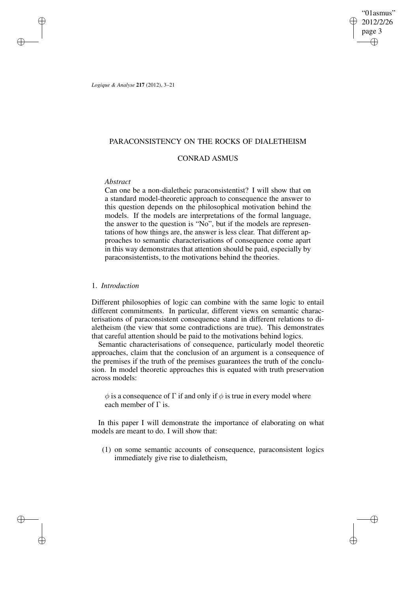"01asmus" 2012/2/26 page 3 ✐ ✐

✐

✐

*Logique & Analyse* **217** (2012), 3–21

✐

✐

✐

✐

## PARACONSISTENCY ON THE ROCKS OF DIALETHEISM

# CONRAD ASMUS

# *Abstract*

Can one be a non-dialetheic paraconsistentist? I will show that on a standard model-theoretic approach to consequence the answer to this question depends on the philosophical motivation behind the models. If the models are interpretations of the formal language, the answer to the question is "No", but if the models are representations of how things are, the answer is less clear. That different approaches to semantic characterisations of consequence come apart in this way demonstrates that attention should be paid, especially by paraconsistentists, to the motivations behind the theories.

# 1. *Introduction*

Different philosophies of logic can combine with the same logic to entail different commitments. In particular, different views on semantic characterisations of paraconsistent consequence stand in different relations to dialetheism (the view that some contradictions are true). This demonstrates that careful attention should be paid to the motivations behind logics.

Semantic characterisations of consequence, particularly model theoretic approaches, claim that the conclusion of an argument is a consequence of the premises if the truth of the premises guarantees the truth of the conclusion. In model theoretic approaches this is equated with truth preservation across models:

 $\phi$  is a consequence of  $\Gamma$  if and only if  $\phi$  is true in every model where each member of  $\Gamma$  is.

In this paper I will demonstrate the importance of elaborating on what models are meant to do. I will show that:

(1) on some semantic accounts of consequence, paraconsistent logics immediately give rise to dialetheism,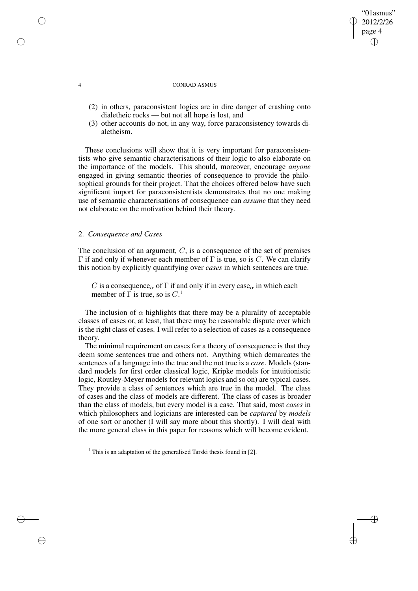### 4 CONRAD ASMUS

"01asmus" 2012/2/26 page 4

✐

✐

✐

✐

- (2) in others, paraconsistent logics are in dire danger of crashing onto dialetheic rocks — but not all hope is lost, and
- (3) other accounts do not, in any way, force paraconsistency towards dialetheism.

These conclusions will show that it is very important for paraconsistentists who give semantic characterisations of their logic to also elaborate on the importance of the models. This should, moreover, encourage *anyone* engaged in giving semantic theories of consequence to provide the philosophical grounds for their project. That the choices offered below have such significant import for paraconsistentists demonstrates that no one making use of semantic characterisations of consequence can *assume* that they need not elaborate on the motivation behind their theory.

## 2. *Consequence and Cases*

The conclusion of an argument,  $C$ , is a consequence of the set of premises Γ if and only if whenever each member of Γ is true, so is C. We can clarify this notion by explicitly quantifying over *cases* in which sentences are true.

C is a consequence<sub>α</sub> of  $\Gamma$  if and only if in every case<sub>α</sub> in which each member of  $\Gamma$  is true, so is  $C<sup>1</sup>$ 

The inclusion of  $\alpha$  highlights that there may be a plurality of acceptable classes of cases or, at least, that there may be reasonable dispute over which is the right class of cases. I will refer to a selection of cases as a consequence theory.

The minimal requirement on cases for a theory of consequence is that they deem some sentences true and others not. Anything which demarcates the sentences of a language into the true and the not true is a *case*. Models (standard models for first order classical logic, Kripke models for intuitionistic logic, Routley-Meyer models for relevant logics and so on) are typical cases. They provide a class of sentences which are true in the model. The class of cases and the class of models are different. The class of cases is broader than the class of models, but every model is a case. That said, most *cases* in which philosophers and logicians are interested can be *captured* by *models* of one sort or another (I will say more about this shortly). I will deal with the more general class in this paper for reasons which will become evident.

<sup>1</sup> This is an adaptation of the generalised Tarski thesis found in [2].

✐

✐

✐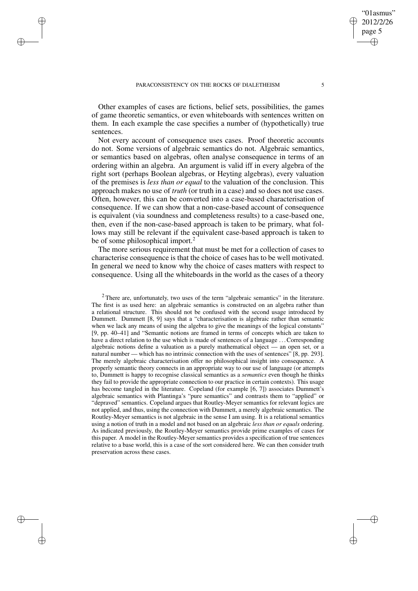✐

✐

✐

✐

Other examples of cases are fictions, belief sets, possibilities, the games of game theoretic semantics, or even whiteboards with sentences written on them. In each example the case specifies a number of (hypothetically) true sentences.

Not every account of consequence uses cases. Proof theoretic accounts do not. Some versions of algebraic semantics do not. Algebraic semantics, or semantics based on algebras, often analyse consequence in terms of an ordering within an algebra. An argument is valid iff in every algebra of the right sort (perhaps Boolean algebras, or Heyting algebras), every valuation of the premises is *less than or equal* to the valuation of the conclusion. This approach makes no use of *truth* (or truth in a case) and so does not use cases. Often, however, this can be converted into a case-based characterisation of consequence. If we can show that a non-case-based account of consequence is equivalent (via soundness and completeness results) to a case-based one, then, even if the non-case-based approach is taken to be primary, what follows may still be relevant if the equivalent case-based approach is taken to be of some philosophical import.<sup>2</sup>

The more serious requirement that must be met for a collection of cases to characterise consequence is that the choice of cases has to be well motivated. In general we need to know why the choice of cases matters with respect to consequence. Using all the whiteboards in the world as the cases of a theory

"01asmus" 2012/2/26 page 5

✐

✐

✐

<sup>&</sup>lt;sup>2</sup> There are, unfortunately, two uses of the term "algebraic semantics" in the literature. The first is as used here: an algebraic semantics is constructed on an algebra rather than a relational structure. This should not be confused with the second usage introduced by Dummett. Dummett [8, 9] says that a "characterisation is algebraic rather than semantic when we lack any means of using the algebra to give the meanings of the logical constants" [9, pp. 40–41] and "Semantic notions are framed in terms of concepts which are taken to have a direct relation to the use which is made of sentences of a language . . .Corresponding algebraic notions define a valuation as a purely mathematical object — an open set, or a natural number — which has no intrinsic connection with the uses of sentences" [8, pp. 293]. The merely algebraic characterisation offer no philosophical insight into consequence. A properly semantic theory connects in an appropriate way to our use of language (or attempts to, Dummett is happy to recognise classical semantics as a *semantics* even though he thinks they fail to provide the appropriate connection to our practice in certain contexts). This usage has become tangled in the literature. Copeland (for example [6, 7]) associates Dummett's algebraic semantics with Plantinga's "pure semantics" and contrasts them to "applied" or "depraved" semantics. Copeland argues that Routley-Meyer semantics for relevant logics are not applied, and thus, using the connection with Dummett, a merely algebraic semantics. The Routley-Meyer semantics is not algebraic in the sense I am using. It is a relational semantics using a notion of truth in a model and not based on an algebraic *less than or equals* ordering. As indicated previously, the Routley-Meyer semantics provide prime examples of cases for this paper. A model in the Routley-Meyer semantics provides a specification of true sentences relative to a base world, this is a case of the sort considered here. We can then consider truth preservation across these cases.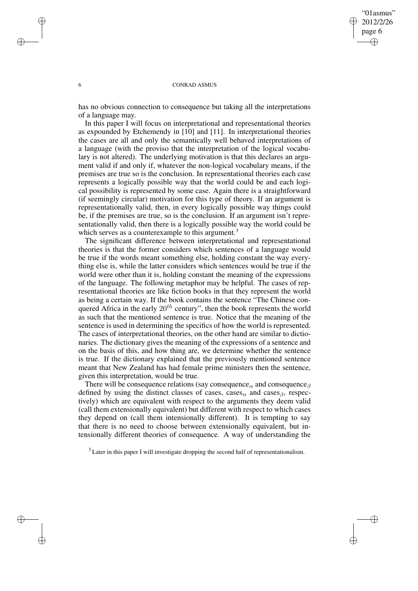✐

### 6 CONRAD ASMUS

has no obvious connection to consequence but taking all the interpretations of a language may.

In this paper I will focus on interpretational and representational theories as expounded by Etchemendy in [10] and [11]. In interpretational theories the cases are all and only the semantically well behaved interpretations of a language (with the proviso that the interpretation of the logical vocabulary is not altered). The underlying motivation is that this declares an argument valid if and only if, whatever the non-logical vocabulary means, if the premises are true so is the conclusion. In representational theories each case represents a logically possible way that the world could be and each logical possibility is represented by some case. Again there is a straightforward (if seemingly circular) motivation for this type of theory. If an argument is representationally valid, then, in every logically possible way things could be, if the premises are true, so is the conclusion. If an argument isn't representationally valid, then there is a logically possible way the world could be which serves as a counterexample to this argument.<sup>3</sup>

The significant difference between interpretational and representational theories is that the former considers which sentences of a language would be true if the words meant something else, holding constant the way everything else is, while the latter considers which sentences would be true if the world were other than it is, holding constant the meaning of the expressions of the language. The following metaphor may be helpful. The cases of representational theories are like fiction books in that they represent the world as being a certain way. If the book contains the sentence "The Chinese conquered Africa in the early  $20^{th}$  century", then the book represents the world as such that the mentioned sentence is true. Notice that the meaning of the sentence is used in determining the specifics of how the world is represented. The cases of interpretational theories, on the other hand are similar to dictionaries. The dictionary gives the meaning of the expressions of a sentence and on the basis of this, and how thing are, we determine whether the sentence is true. If the dictionary explained that the previously mentioned sentence meant that New Zealand has had female prime ministers then the sentence, given this interpretation, would be true.

There will be consequence relations (say consequence<sub> $\alpha$ </sub> and consequence<sub> $\beta$ </sub> defined by using the distinct classes of cases, cases<sub>α</sub> and cases<sub>β</sub>, respectively) which are equivalent with respect to the arguments they deem valid (call them extensionally equivalent) but different with respect to which cases they depend on (call them intensionally different). It is tempting to say that there is no need to choose between extensionally equivalent, but intensionally different theories of consequence. A way of understanding the

<sup>3</sup> Later in this paper I will investigate dropping the second half of representationalism.

✐

✐

✐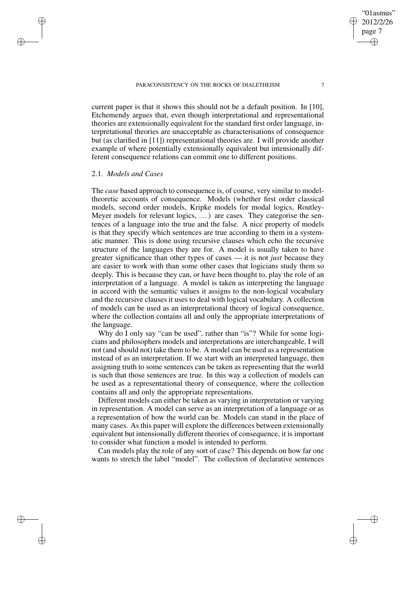current paper is that it shows this should not be a default position. In [10], Etchemendy argues that, even though interpretational and representational theories are extensionally equivalent for the standard first order language, interpretational theories are unacceptable as characterisations of consequence but (as clarified in [11]) representational theories are. I will provide another example of where potentially extensionally equivalent but intensionally different consequence relations can commit one to different positions.

# 2.1. *Models and Cases*

✐

✐

✐

✐

The *case* based approach to consequence is, of course, very similar to modeltheoretic accounts of consequence. Models (whether first order classical models, second order models, Kripke models for modal logics, Routley-Meyer models for relevant logics, ...) are cases. They categorise the sentences of a language into the true and the false. A nice property of models is that they specify which sentences are true according to them in a systematic manner. This is done using recursive clauses which echo the recursive structure of the languages they are for. A model is usually taken to have greater significance than other types of cases — it is not *just* because they are easier to work with than some other cases that logicians study them so deeply. This is because they can, or have been thought to, play the role of an interpretation of a language. A model is taken as interpreting the language in accord with the semantic values it assigns to the non-logical vocabulary and the recursive clauses it uses to deal with logical vocabulary. A collection of models can be used as an interpretational theory of logical consequence, where the collection contains all and only the appropriate interpretations of the language.

Why do I only say "can be used", rather than "is"? While for some logicians and philosophers models and interpretations are interchangeable, I will not (and should not) take them to be. A model can be used as a representation instead of as an interpretation. If we start with an interpreted language, then assigning truth to some sentences can be taken as representing that the world is such that those sentences are true. In this way a collection of models can be used as a representational theory of consequence, where the collection contains all and only the appropriate representations.

Different models can either be taken as varying in interpretation or varying in representation. A model can serve as an interpretation of a language or as a representation of how the world can be. Models can stand in the place of many cases. As this paper will explore the differences between extensionally equivalent but intensionally different theories of consequence, it is important to consider what function a model is intended to perform.

Can models play the role of any sort of case? This depends on how far one wants to stretch the label "model". The collection of declarative sentences

"01asmus" 2012/2/26 page 7

✐

✐

✐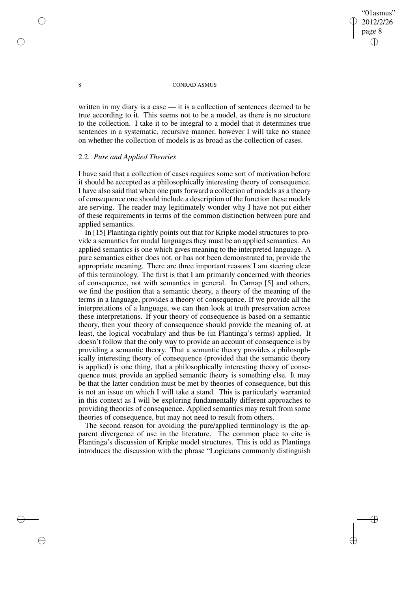## "01asmus" 2012/2/26 page 8 ✐ ✐

✐

✐

### 8 CONRAD ASMUS

written in my diary is a case — it is a collection of sentences deemed to be true according to it. This seems not to be a model, as there is no structure to the collection. I take it to be integral to a model that it determines true sentences in a systematic, recursive manner, however I will take no stance on whether the collection of models is as broad as the collection of cases.

### 2.2. *Pure and Applied Theories*

I have said that a collection of cases requires some sort of motivation before it should be accepted as a philosophically interesting theory of consequence. I have also said that when one puts forward a collection of models as a theory of consequence one should include a description of the function these models are serving. The reader may legitimately wonder why I have not put either of these requirements in terms of the common distinction between pure and applied semantics.

In [15] Plantinga rightly points out that for Kripke model structures to provide a semantics for modal languages they must be an applied semantics. An applied semantics is one which gives meaning to the interpreted language. A pure semantics either does not, or has not been demonstrated to, provide the appropriate meaning. There are three important reasons I am steering clear of this terminology. The first is that I am primarily concerned with theories of consequence, not with semantics in general. In Carnap [5] and others, we find the position that a semantic theory, a theory of the meaning of the terms in a language, provides a theory of consequence. If we provide all the interpretations of a language, we can then look at truth preservation across these interpretations. If your theory of consequence is based on a semantic theory, then your theory of consequence should provide the meaning of, at least, the logical vocabulary and thus be (in Plantinga's terms) applied. It doesn't follow that the only way to provide an account of consequence is by providing a semantic theory. That a semantic theory provides a philosophically interesting theory of consequence (provided that the semantic theory is applied) is one thing, that a philosophically interesting theory of consequence must provide an applied semantic theory is something else. It may be that the latter condition must be met by theories of consequence, but this is not an issue on which I will take a stand. This is particularly warranted in this context as I will be exploring fundamentally different approaches to providing theories of consequence. Applied semantics may result from some theories of consequence, but may not need to result from others.

The second reason for avoiding the pure/applied terminology is the apparent divergence of use in the literature. The common place to cite is Plantinga's discussion of Kripke model structures. This is odd as Plantinga introduces the discussion with the phrase "Logicians commonly distinguish

✐

✐

✐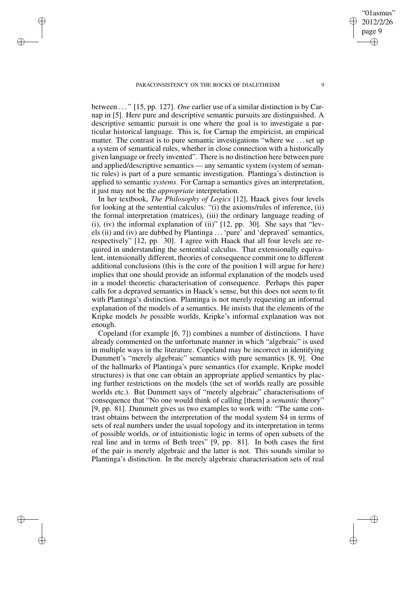✐

✐

✐

✐

between . . . " [15, pp. 127]. *One* earlier use of a similar distinction is by Carnap in [5]. Here pure and descriptive semantic pursuits are distinguished. A descriptive semantic pursuit is one where the goal is to investigate a particular historical language. This is, for Carnap the empiricist, an empirical matter. The contrast is to pure semantic investigations "where we . . .set up a system of semantical rules, whether in close connection with a historically given language or freely invented". There is no distinction here between pure and applied/descriptive semantics — any semantic system (system of semantic rules) is part of a pure semantic investigation. Plantinga's distinction is applied to semantic *systems*. For Carnap a semantics gives an interpretation, it just may not be the *appropriate* interpretation.

In her textbook, *The Philosophy of Logics* [12], Haack gives four levels for looking at the sentential calculus: "(i) the axioms/rules of inference, (ii) the formal interpretation (matrices), (iii) the ordinary language reading of (i), (iv) the informal explanation of (ii)" [12, pp. 30]. She says that "levels (ii) and (iv) are dubbed by Plantinga . . .'pure' and 'depraved' semantics, respectively" [12, pp. 30]. I agree with Haack that all four levels are required in understanding the sentential calculus. That extensionally equivalent, intensionally different, theories of consequence commit one to different additional conclusions (this is the core of the position I will argue for here) implies that one should provide an informal explanation of the models used in a model theoretic characterisation of consequence. Perhaps this paper calls for a depraved semantics in Haack's sense, but this does not seem to fit with Plantinga's distinction. Plantinga is not merely requesting an informal explanation of the models of a semantics. He insists that the elements of the Kripke models *be* possible worlds, Kripke's informal explanation was not enough.

Copeland (for example [6, 7]) combines a number of distinctions. I have already commented on the unfortunate manner in which "algebraic" is used in multiple ways in the literature. Copeland may be incorrect in identifying Dummett's "merely algebraic" semantics with pure semantics [8, 9]. One of the hallmarks of Plantinga's pure semantics (for example, Kripke model structures) is that one can obtain an appropriate applied semantics by placing further restrictions on the models (the set of worlds really are possible worlds etc.). But Dummett says of "merely algebraic" characterisations of consequence that "No one would think of calling [them] a *semantic* theory" [9, pp. 81]. Dummett gives us two examples to work with: "The same contrast obtains between the interpretation of the modal system S4 in terms of sets of real numbers under the usual topology and its interpretation in terms of possible worlds, or of intuitionistic logic in terms of open subsets of the real line and in terms of Beth trees" [9, pp. 81]. In both cases the first of the pair is merely algebraic and the latter is not. This sounds similar to Plantinga's distinction. In the merely algebraic characterisation sets of real

"01asmus" 2012/2/26 page 9

✐

✐

✐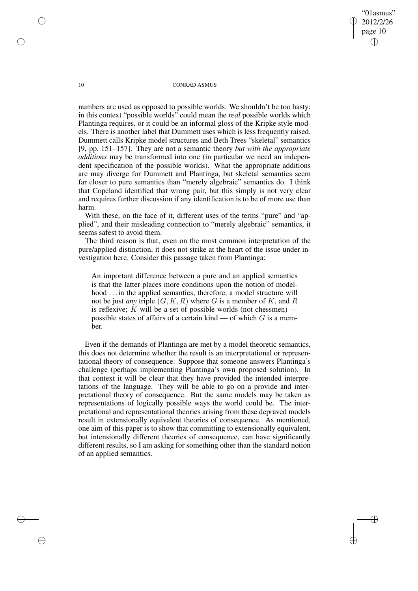"01asmus" 2012/2/26 page 10 ✐ ✐

✐

✐

### 10 CONRAD ASMUS

numbers are used as opposed to possible worlds. We shouldn't be too hasty; in this context "possible worlds" could mean the *real* possible worlds which Plantinga requires, or it could be an informal gloss of the Kripke style models. There is another label that Dummett uses which is less frequently raised. Dummett calls Kripke model structures and Beth Trees "skeletal" semantics [9, pp. 151–157]. They are not a semantic theory *but with the appropriate additions* may be transformed into one (in particular we need an independent specification of the possible worlds). What the appropriate additions are may diverge for Dummett and Plantinga, but skeletal semantics seem far closer to pure semantics than "merely algebraic" semantics do. I think that Copeland identified that wrong pair, but this simply is not very clear and requires further discussion if any identification is to be of more use than harm.

With these, on the face of it, different uses of the terms "pure" and "applied", and their misleading connection to "merely algebraic" semantics, it seems safest to avoid them.

The third reason is that, even on the most common interpretation of the pure/applied distinction, it does not strike at the heart of the issue under investigation here. Consider this passage taken from Plantinga:

An important difference between a pure and an applied semantics is that the latter places more conditions upon the notion of modelhood ... in the applied semantics, therefore, a model structure will not be just *any* triple  $(G, K, R)$  where G is a member of K, and R is reflexive;  $K$  will be a set of possible worlds (not chessmen) possible states of affairs of a certain kind — of which  $G$  is a member.

Even if the demands of Plantinga are met by a model theoretic semantics, this does not determine whether the result is an interpretational or representational theory of consequence. Suppose that someone answers Plantinga's challenge (perhaps implementing Plantinga's own proposed solution). In that context it will be clear that they have provided the intended interpretations of the language. They will be able to go on a provide and interpretational theory of consequence. But the same models may be taken as representations of logically possible ways the world could be. The interpretational and representational theories arising from these depraved models result in extensionally equivalent theories of consequence. As mentioned, one aim of this paper is to show that committing to extensionally equivalent, but intensionally different theories of consequence, can have significantly different results, so I am asking for something other than the standard notion of an applied semantics.

✐

✐

✐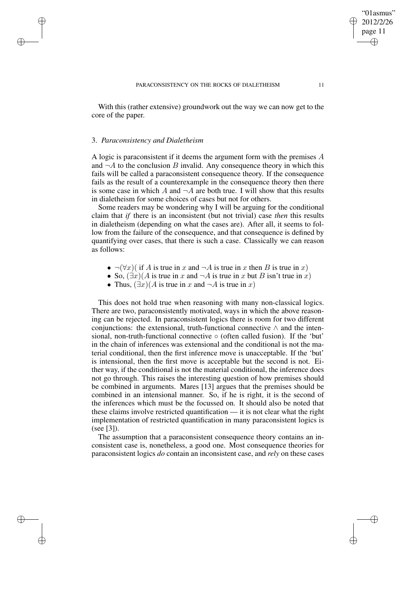With this (rather extensive) groundwork out the way we can now get to the core of the paper.

### 3. *Paraconsistency and Dialetheism*

✐

✐

✐

✐

A logic is paraconsistent if it deems the argument form with the premises A and  $\neg A$  to the conclusion B invalid. Any consequence theory in which this fails will be called a paraconsistent consequence theory. If the consequence fails as the result of a counterexample in the consequence theory then there is some case in which A and  $\neg A$  are both true. I will show that this results in dialetheism for some choices of cases but not for others.

Some readers may be wondering why I will be arguing for the conditional claim that *if* there is an inconsistent (but not trivial) case *then* this results in dialetheism (depending on what the cases are). After all, it seems to follow from the failure of the consequence, and that consequence is defined by quantifying over cases, that there is such a case. Classically we can reason as follows:

- $\neg(\forall x)$  if A is true in x and  $\neg A$  is true in x then B is true in x)
- So,  $(\exists x)(A$  is true in x and  $\neg A$  is true in x but B isn't true in x)
- Thus,  $(\exists x)(A \text{ is true in } x \text{ and } \neg A \text{ is true in } x)$

This does not hold true when reasoning with many non-classical logics. There are two, paraconsistently motivated, ways in which the above reasoning can be rejected. In paraconsistent logics there is room for two different conjunctions: the extensional, truth-functional connective  $\wedge$  and the intensional, non-truth-functional connective ◦ (often called fusion). If the 'but' in the chain of inferences was extensional and the conditional is not the material conditional, then the first inference move is unacceptable. If the 'but' is intensional, then the first move is acceptable but the second is not. Either way, if the conditional is not the material conditional, the inference does not go through. This raises the interesting question of how premises should be combined in arguments. Mares [13] argues that the premises should be combined in an intensional manner. So, if he is right, it is the second of the inferences which must be the focussed on. It should also be noted that these claims involve restricted quantification — it is not clear what the right implementation of restricted quantification in many paraconsistent logics is (see [3]).

The assumption that a paraconsistent consequence theory contains an inconsistent case is, nonetheless, a good one. Most consequence theories for paraconsistent logics *do* contain an inconsistent case, and *rely* on these cases

"01asmus" 2012/2/26 page 11

✐

✐

✐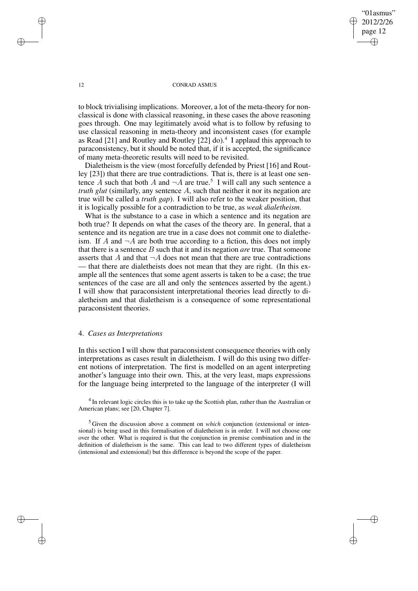"01asmus" 2012/2/26 page 12 ✐ ✐

✐

✐

### 12 CONRAD ASMUS

to block trivialising implications. Moreover, a lot of the meta-theory for nonclassical is done with classical reasoning, in these cases the above reasoning goes through. One may legitimately avoid what is to follow by refusing to use classical reasoning in meta-theory and inconsistent cases (for example as Read [21] and Routley and Routley [22] do). $4$  I applaud this approach to paraconsistency, but it should be noted that, if it is accepted, the significance of many meta-theoretic results will need to be revisited.

Dialetheism is the view (most forcefully defended by Priest [16] and Routley [23]) that there are true contradictions. That is, there is at least one sentence A such that both A and  $\neg A$  are true.<sup>5</sup> I will call any such sentence a *truth glut* (similarly, any sentence A, such that neither it nor its negation are true will be called a *truth gap*). I will also refer to the weaker position, that it is logically possible for a contradiction to be true, as *weak dialetheism*.

What is the substance to a case in which a sentence and its negation are both true? It depends on what the cases of the theory are. In general, that a sentence and its negation are true in a case does not commit one to dialetheism. If A and  $\neg A$  are both true according to a fiction, this does not imply that there is a sentence B such that it and its negation *are* true. That someone asserts that A and that  $\neg A$  does not mean that there are true contradictions that there are dialetheists does not mean that they are right. (In this example all the sentences that some agent asserts is taken to be a case; the true sentences of the case are all and only the sentences asserted by the agent.) I will show that paraconsistent interpretational theories lead directly to dialetheism and that dialetheism is a consequence of some representational paraconsistent theories.

## 4. *Cases as Interpretations*

In this section I will show that paraconsistent consequence theories with only interpretations as cases result in dialetheism. I will do this using two different notions of interpretation. The first is modelled on an agent interpreting another's language into their own. This, at the very least, maps expressions for the language being interpreted to the language of the interpreter (I will

<sup>4</sup> In relevant logic circles this is to take up the Scottish plan, rather than the Australian or American plans; see [20, Chapter 7].

<sup>5</sup> Given the discussion above a comment on *which* conjunction (extensional or intensional) is being used in this formalisation of dialetheism is in order. I will not choose one over the other. What is required is that the conjunction in premise combination and in the definition of dialetheism is the same. This can lead to two different types of dialetheism (intensional and extensional) but this difference is beyond the scope of the paper.

✐

✐

✐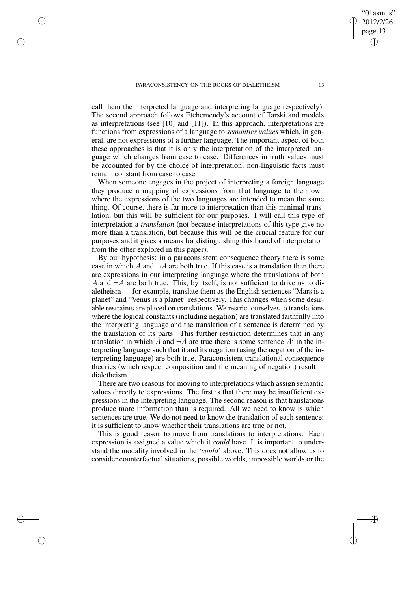✐

✐

✐

✐

call them the interpreted language and interpreting language respectively). The second approach follows Etchemendy's account of Tarski and models as interpretations (see [10] and [11]). In this approach, interpretations are functions from expressions of a language to *semantics values* which, in general, are not expressions of a further language. The important aspect of both these approaches is that it is only the interpretation of the interpreted language which changes from case to case. Differences in truth values must be accounted for by the choice of interpretation; non-linguistic facts must remain constant from case to case.

When someone engages in the project of interpreting a foreign language they produce a mapping of expressions from that language to their own where the expressions of the two languages are intended to mean the same thing. Of course, there is far more to interpretation than this minimal translation, but this will be sufficient for our purposes. I will call this type of interpretation a *translation* (not because interpretations of this type give no more than a translation, but because this will be the crucial feature for our purposes and it gives a means for distinguishing this brand of interpretation from the other explored in this paper).

By our hypothesis: in a paraconsistent consequence theory there is some case in which A and  $\neg A$  are both true. If this case is a translation then there are expressions in our interpreting language where the translations of both A and  $\neg A$  are both true. This, by itself, is not sufficient to drive us to dialetheism — for example, translate them as the English sentences "Mars is a planet" and "Venus is a planet" respectively. This changes when some desirable restraints are placed on translations. We restrict ourselves to translations where the logical constants (including negation) are translated faithfully into the interpreting language and the translation of a sentence is determined by the translation of its parts. This further restriction determines that in any translation in which  $\overline{A}$  and  $\neg \overline{A}$  are true there is some sentence  $\overline{A}$ <sup>'</sup> in the interpreting language such that it and its negation (using the negation of the interpreting language) are both true. Paraconsistent translational consequence theories (which respect composition and the meaning of negation) result in dialetheism.

There are two reasons for moving to interpretations which assign semantic values directly to expressions. The first is that there may be insufficient expressions in the interpreting language. The second reason is that translations produce more information than is required. All we need to know is which sentences are true. We do not need to know the translation of each sentence; it is sufficient to know whether their translations are true or not.

This is good reason to move from translations to interpretations. Each expression is assigned a value which it *could* have. It is important to understand the modality involved in the '*could*' above. This does not allow us to consider counterfactual situations, possible worlds, impossible worlds or the

"01asmus" 2012/2/26 page 13

✐

✐

✐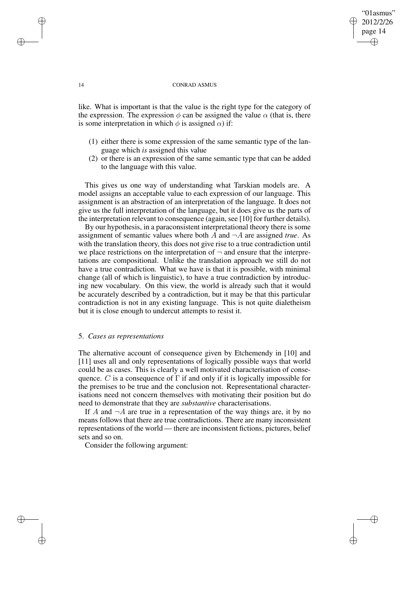### 14 CONRAD ASMUS

"01asmus" 2012/2/26 page 14

✐

✐

✐

✐

like. What is important is that the value is the right type for the category of the expression. The expression  $\phi$  can be assigned the value  $\alpha$  (that is, there is some interpretation in which  $\phi$  is assigned  $\alpha$ ) if:

- (1) either there is some expression of the same semantic type of the language which *is* assigned this value
- (2) or there is an expression of the same semantic type that can be added to the language with this value.

This gives us one way of understanding what Tarskian models are. A model assigns an acceptable value to each expression of our language. This assignment is an abstraction of an interpretation of the language. It does not give us the full interpretation of the language, but it does give us the parts of the interpretation relevant to consequence (again, see [10] for further details).

By our hypothesis, in a paraconsistent interpretational theory there is some assignment of semantic values where both  $A$  and  $\neg A$  are assigned *true*. As with the translation theory, this does not give rise to a true contradiction until we place restrictions on the interpretation of  $\neg$  and ensure that the interpretations are compositional. Unlike the translation approach we still do not have a true contradiction. What we have is that it is possible, with minimal change (all of which is linguistic), to have a true contradiction by introducing new vocabulary. On this view, the world is already such that it would be accurately described by a contradiction, but it may be that this particular contradiction is not in any existing language. This is not quite dialetheism but it is close enough to undercut attempts to resist it.

## 5. *Cases as representations*

The alternative account of consequence given by Etchemendy in [10] and [11] uses all and only representations of logically possible ways that world could be as cases. This is clearly a well motivated characterisation of consequence. C is a consequence of  $\Gamma$  if and only if it is logically impossible for the premises to be true and the conclusion not. Representational characterisations need not concern themselves with motivating their position but do need to demonstrate that they are *substantive* characterisations.

If A and  $\neg A$  are true in a representation of the way things are, it by no means follows that there are true contradictions. There are many inconsistent representations of the world — there are inconsistent fictions, pictures, belief sets and so on.

Consider the following argument:

✐

✐

✐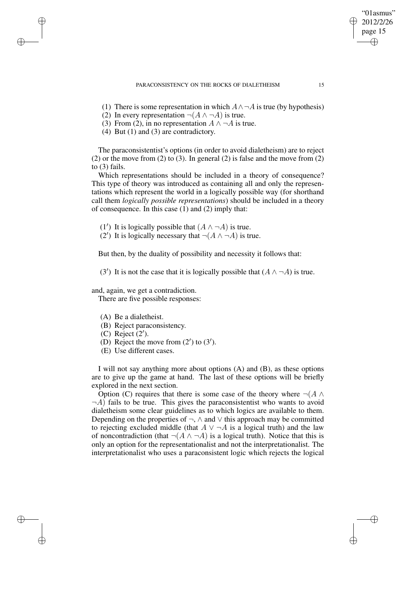- (1) There is some representation in which  $A \wedge \neg A$  is true (by hypothesis)
- (2) In every representation  $\neg(A \land \neg A)$  is true.
- (3) From (2), in no representation  $A \wedge \neg A$  is true.
- (4) But (1) and (3) are contradictory.

✐

✐

✐

The paraconsistentist's options (in order to avoid dialetheism) are to reject (2) or the move from (2) to (3). In general (2) is false and the move from (2) to (3) fails.

Which representations should be included in a theory of consequence? This type of theory was introduced as containing all and only the representations which represent the world in a logically possible way (for shorthand call them *logically possible representations*) should be included in a theory of consequence. In this case (1) and (2) imply that:

(1') It is logically possible that  $(A \land \neg A)$  is true.

(2') It is logically necessary that  $\neg(A \land \neg A)$  is true.

But then, by the duality of possibility and necessity it follows that:

(3<sup>'</sup>) It is not the case that it is logically possible that  $(A \land \neg A)$  is true.

and, again, we get a contradiction.

There are five possible responses:

- (A) Be a dialetheist.
- (B) Reject paraconsistency.
- $(C)$  Reject  $(2')$ .
- (D) Reject the move from  $(2')$  to  $(3')$ .
- (E) Use different cases.

I will not say anything more about options (A) and (B), as these options are to give up the game at hand. The last of these options will be briefly explored in the next section.

Option (C) requires that there is some case of the theory where  $\neg(A \wedge$  $\neg A$ ) fails to be true. This gives the paraconsistentist who wants to avoid dialetheism some clear guidelines as to which logics are available to them. Depending on the properties of  $\neg$ ,  $\wedge$  and  $\vee$  this approach may be committed to rejecting excluded middle (that  $A \vee \neg A$  is a logical truth) and the law of noncontradiction (that  $\neg(A \land \neg A)$  is a logical truth). Notice that this is only an option for the representationalist and not the interpretationalist. The interpretationalist who uses a paraconsistent logic which rejects the logical

"01asmus" 2012/2/26 page 15

✐

✐

✐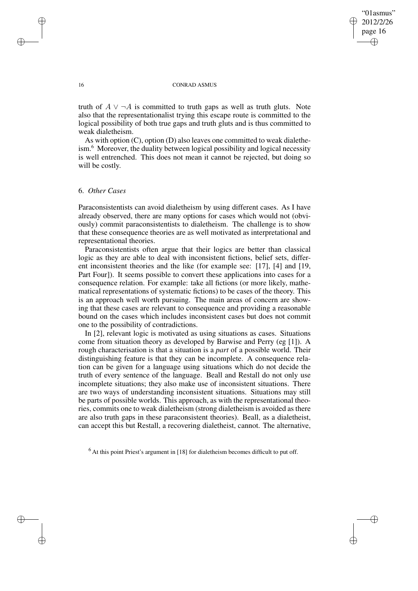✐

### 16 CONRAD ASMUS

truth of  $A \vee \neg A$  is committed to truth gaps as well as truth gluts. Note also that the representationalist trying this escape route is committed to the logical possibility of both true gaps and truth gluts and is thus committed to weak dialetheism.

As with option (C), option (D) also leaves one committed to weak dialetheism.<sup>6</sup> Moreover, the duality between logical possibility and logical necessity is well entrenched. This does not mean it cannot be rejected, but doing so will be costly.

## 6. *Other Cases*

Paraconsistentists can avoid dialetheism by using different cases. As I have already observed, there are many options for cases which would not (obviously) commit paraconsistentists to dialetheism. The challenge is to show that these consequence theories are as well motivated as interpretational and representational theories.

Paraconsistentists often argue that their logics are better than classical logic as they are able to deal with inconsistent fictions, belief sets, different inconsistent theories and the like (for example see: [17], [4] and [19, Part Four]). It seems possible to convert these applications into cases for a consequence relation. For example: take all fictions (or more likely, mathematical representations of systematic fictions) to be cases of the theory. This is an approach well worth pursuing. The main areas of concern are showing that these cases are relevant to consequence and providing a reasonable bound on the cases which includes inconsistent cases but does not commit one to the possibility of contradictions.

In [2], relevant logic is motivated as using situations as cases. Situations come from situation theory as developed by Barwise and Perry (eg [1]). A rough characterisation is that a situation is a *part* of a possible world. Their distinguishing feature is that they can be incomplete. A consequence relation can be given for a language using situations which do not decide the truth of every sentence of the language. Beall and Restall do not only use incomplete situations; they also make use of inconsistent situations. There are two ways of understanding inconsistent situations. Situations may still be parts of possible worlds. This approach, as with the representational theories, commits one to weak dialetheism (strong dialetheism is avoided as there are also truth gaps in these paraconsistent theories). Beall, as a dialetheist, can accept this but Restall, a recovering dialetheist, cannot. The alternative,

 $<sup>6</sup>$  At this point Priest's argument in [18] for dialetheism becomes difficult to put off.</sup>

✐

✐

✐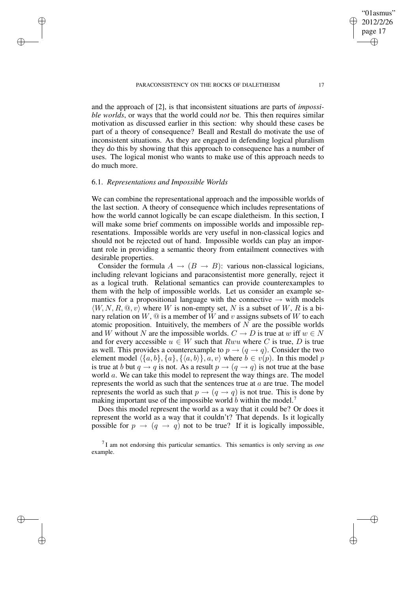and the approach of [2], is that inconsistent situations are parts of *impossible worlds*, or ways that the world could *not* be. This then requires similar motivation as discussed earlier in this section: why should these cases be part of a theory of consequence? Beall and Restall do motivate the use of inconsistent situations. As they are engaged in defending logical pluralism they do this by showing that this approach to consequence has a number of uses. The logical monist who wants to make use of this approach needs to do much more.

### 6.1. *Representations and Impossible Worlds*

✐

✐

✐

✐

We can combine the representational approach and the impossible worlds of the last section. A theory of consequence which includes representations of how the world cannot logically be can escape dialetheism. In this section, I will make some brief comments on impossible worlds and impossible representations. Impossible worlds are very useful in non-classical logics and should not be rejected out of hand. Impossible worlds can play an important role in providing a semantic theory from entailment connectives with desirable properties.

Consider the formula  $A \rightarrow (B \rightarrow B)$ : various non-classical logicians, including relevant logicians and paraconsistentist more generally, reject it as a logical truth. Relational semantics can provide counterexamples to them with the help of impossible worlds. Let us consider an example semantics for a propositional language with the connective  $\rightarrow$  with models  $\langle W, N, R, \mathbb{Q}, v \rangle$  where W is non-empty set, N is a subset of W, R is a binary relation on  $W$ ,  $\mathcal Q$  is a member of W and v assigns subsets of W to each atomic proposition. Intuitively, the members of  $N$  are the possible worlds and W without N are the impossible worlds.  $C \rightarrow D$  is true at w iff  $w \in N$ and for every accessible  $u \in W$  such that  $Rwu$  where C is true, D is true as well. This provides a counterexample to  $p \rightarrow (q \rightarrow q)$ . Consider the two element model  $\langle \{a, b\}, \{a\}, \{\langle a, b\rangle\}, a, v\rangle$  where  $b \in v(p)$ . In this model p is true at b but  $q \rightarrow q$  is not. As a result  $p \rightarrow (q \rightarrow q)$  is not true at the base world a. We can take this model to represent the way things are. The model represents the world as such that the sentences true at  $a$  are true. The model represents the world as such that  $p \rightarrow (q \rightarrow q)$  is not true. This is done by making important use of the impossible world b within the model.<sup>7</sup>

Does this model represent the world as a way that it could be? Or does it represent the world as a way that it couldn't? That depends. Is it logically possible for  $p \rightarrow (q \rightarrow q)$  not to be true? If it is logically impossible,

"01asmus" 2012/2/26 page 17

✐

✐

✐

<sup>7</sup> I am not endorsing this particular semantics. This semantics is only serving as *one* example.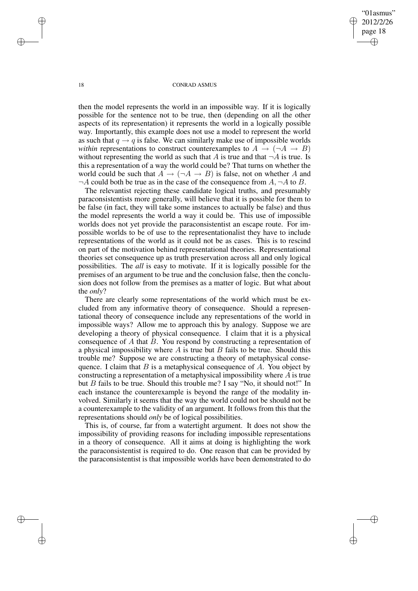"01asmus" 2012/2/26 page 18 ✐ ✐

✐

✐

### 18 CONRAD ASMUS

then the model represents the world in an impossible way. If it is logically possible for the sentence not to be true, then (depending on all the other aspects of its representation) it represents the world in a logically possible way. Importantly, this example does not use a model to represent the world as such that  $q \rightarrow q$  is false. We can similarly make use of impossible worlds *within* representations to construct counterexamples to  $A \rightarrow (\neg A \rightarrow B)$ without representing the world as such that A is true and that  $\neg A$  is true. Is this a representation of a way the world could be? That turns on whether the world could be such that  $A \rightarrow (\neg A \rightarrow B)$  is false, not on whether A and  $\neg A$  could both be true as in the case of the consequence from  $A$ ,  $\neg A$  to  $B$ .

The relevantist rejecting these candidate logical truths, and presumably paraconsistentists more generally, will believe that it is possible for them to be false (in fact, they will take some instances to actually be false) and thus the model represents the world a way it could be. This use of impossible worlds does not yet provide the paraconsistentist an escape route. For impossible worlds to be of use to the representationalist they have to include representations of the world as it could not be as cases. This is to rescind on part of the motivation behind representational theories. Representational theories set consequence up as truth preservation across all and only logical possibilities. The *all* is easy to motivate. If it is logically possible for the premises of an argument to be true and the conclusion false, then the conclusion does not follow from the premises as a matter of logic. But what about the *only*?

There are clearly some representations of the world which must be excluded from any informative theory of consequence. Should a representational theory of consequence include any representations of the world in impossible ways? Allow me to approach this by analogy. Suppose we are developing a theory of physical consequence. I claim that it is a physical consequence of A that B. You respond by constructing a representation of a physical impossibility where  $A$  is true but  $B$  fails to be true. Should this trouble me? Suppose we are constructing a theory of metaphysical consequence. I claim that  $B$  is a metaphysical consequence of  $A$ . You object by constructing a representation of a metaphysical impossibility where A is true but B fails to be true. Should this trouble me? I say "No, it should not!" In each instance the counterexample is beyond the range of the modality involved. Similarly it seems that the way the world could not be should not be a counterexample to the validity of an argument. It follows from this that the representations should *only* be of logical possibilities.

This is, of course, far from a watertight argument. It does not show the impossibility of providing reasons for including impossible representations in a theory of consequence. All it aims at doing is highlighting the work the paraconsistentist is required to do. One reason that can be provided by the paraconsistentist is that impossible worlds have been demonstrated to do

✐

✐

✐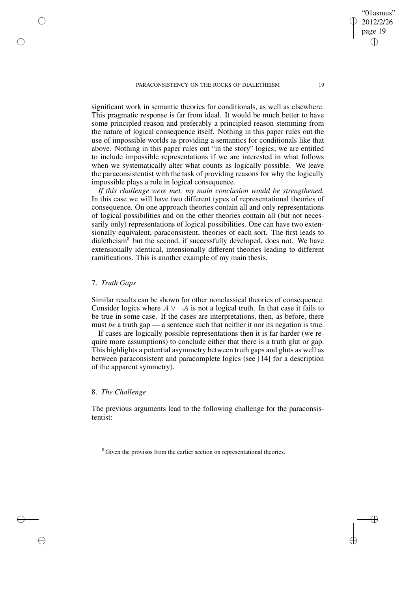significant work in semantic theories for conditionals, as well as elsewhere. This pragmatic response is far from ideal. It would be much better to have some principled reason and preferably a principled reason stemming from the nature of logical consequence itself. Nothing in this paper rules out the use of impossible worlds as providing a semantics for conditionals like that above. Nothing in this paper rules out "in the story" logics; we are entitled to include impossible representations if we are interested in what follows when we systematically alter what counts as logically possible. We leave the paraconsistentist with the task of providing reasons for why the logically impossible plays a role in logical consequence.

*If this challenge were met, my main conclusion would be strengthened.* In this case we will have two different types of representational theories of consequence. On one approach theories contain all and only representations of logical possibilities and on the other theories contain all (but not necessarily only) representations of logical possibilities. One can have two extensionally equivalent, paraconsistent, theories of each sort. The first leads to dialetheism $8$  but the second, if successfully developed, does not. We have extensionally identical, intensionally different theories leading to different ramifications. This is another example of my main thesis.

# 7. *Truth Gaps*

✐

✐

✐

✐

Similar results can be shown for other nonclassical theories of consequence. Consider logics where  $A \vee \neg A$  is not a logical truth. In that case it fails to be true in some case. If the cases are interpretations, then, as before, there must *be* a truth gap — a sentence such that neither it nor its negation is true.

If cases are logically possible representations then it is far harder (we require more assumptions) to conclude either that there is a truth glut or gap. This highlights a potential asymmetry between truth gaps and gluts as well as between paraconsistent and paracomplete logics (see [14] for a description of the apparent symmetry).

# 8. *The Challenge*

The previous arguments lead to the following challenge for the paraconsistentist:

<sup>8</sup> Given the provisos from the earlier section on representational theories.

"01asmus" 2012/2/26 page 19

✐

✐

✐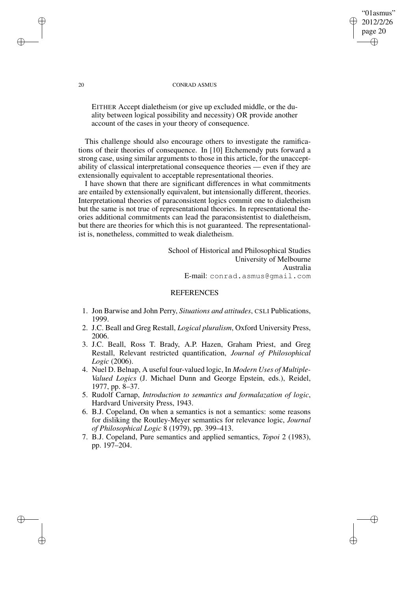#### 20 CONRAD ASMUS

EITHER Accept dialetheism (or give up excluded middle, or the duality between logical possibility and necessity) OR provide another account of the cases in your theory of consequence.

This challenge should also encourage others to investigate the ramifications of their theories of consequence. In [10] Etchemendy puts forward a strong case, using similar arguments to those in this article, for the unacceptability of classical interpretational consequence theories — even if they are extensionally equivalent to acceptable representational theories.

I have shown that there are significant differences in what commitments are entailed by extensionally equivalent, but intensionally different, theories. Interpretational theories of paraconsistent logics commit one to dialetheism but the same is not true of representational theories. In representational theories additional commitments can lead the paraconsistentist to dialetheism, but there are theories for which this is not guaranteed. The representationalist is, nonetheless, committed to weak dialetheism.

> School of Historical and Philosophical Studies University of Melbourne Australia E-mail: conrad.asmus@gmail.com

"01asmus" 2012/2/26 page 20

✐

✐

✐

✐

### REFERENCES

- 1. Jon Barwise and John Perry, *Situations and attitudes*, CSLI Publications, 1999.
- 2. J.C. Beall and Greg Restall, *Logical pluralism*, Oxford University Press, 2006.
- 3. J.C. Beall, Ross T. Brady, A.P. Hazen, Graham Priest, and Greg Restall, Relevant restricted quantification, *Journal of Philosophical Logic* (2006).
- 4. Nuel D. Belnap, A useful four-valued logic, In *Modern Uses of Multiple-Valued Logics* (J. Michael Dunn and George Epstein, eds.), Reidel, 1977, pp. 8–37.
- 5. Rudolf Carnap, *Introduction to semantics and formalazation of logic*, Hardvard University Press, 1943.
- 6. B.J. Copeland, On when a semantics is not a semantics: some reasons for disliking the Routley-Meyer semantics for relevance logic, *Journal of Philosophical Logic* 8 (1979), pp. 399–413.
- 7. B.J. Copeland, Pure semantics and applied semantics, *Topoi* 2 (1983), pp. 197–204.

✐

✐

✐